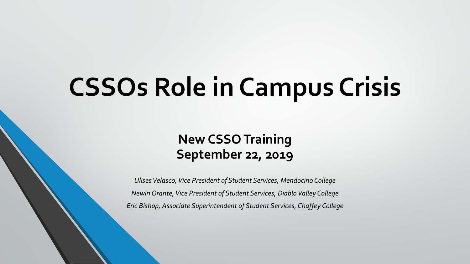# **CSSOs Role in Campus Crisis**

#### **New CSSO Training September 22, 2019**

*Ulises Velasco, Vice President of Student Services, Mendocino College Newin Orante, Vice President of Student Services, Diablo Valley College Eric Bishop, Associate Superintendent of Student Services, Chaffey College*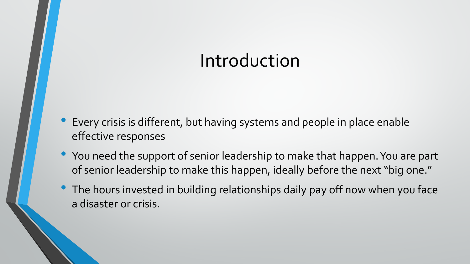### Introduction

- Every crisis is different, but having systems and people in place enable effective responses
- You need the support of senior leadership to make that happen. You are part of senior leadership to make this happen, ideally before the next "big one."
- The hours invested in building relationships daily pay off now when you face a disaster or crisis.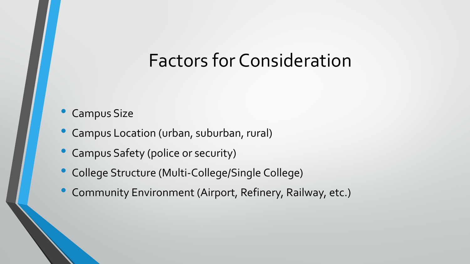### Factors for Consideration

#### • Campus Size

- Campus Location (urban, suburban, rural)
- Campus Safety (police or security)
- College Structure (Multi-College/Single College)
- Community Environment (Airport, Refinery, Railway, etc.)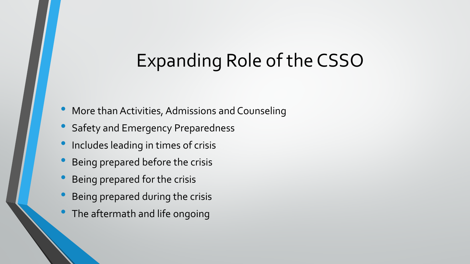# Expanding Role of the CSSO

- More than Activities, Admissions and Counseling
- Safety and Emergency Preparedness
- Includes leading in times of crisis
- Being prepared before the crisis
- Being prepared for the crisis
- Being prepared during the crisis
- The aftermath and life ongoing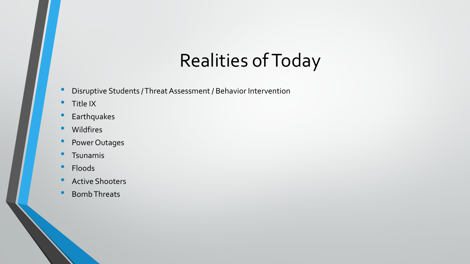# Realities of Today

- Disruptive Students / Threat Assessment / Behavior Intervention
- Title IX
- Earthquakes
- Wildfires
- Power Outages
- Tsunamis
- Floods
- Active Shooters
- Bomb Threats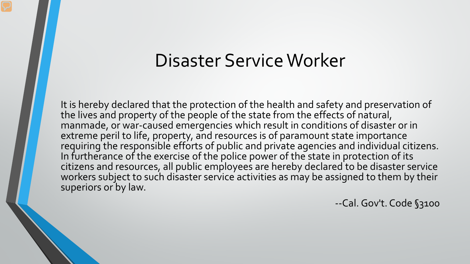#### Disaster Service Worker

It is hereby declared that the protection of the health and safety and preservation of the lives and property of the people of the state from the effects of natural, manmade, or war-caused emergencies which result in conditions of disaster or in extreme peril to life, property, and resources is of paramount state importance requiring the responsible efforts of public and private agencies and individual citizens. In furtherance of the exercise of the police power of the state in protection of its citizens and resources, all public employees are hereby declared to be disaster service workers subject to such disaster service activities as may be assigned to them by their superiors or by law.

--Cal. Gov't. Code §3100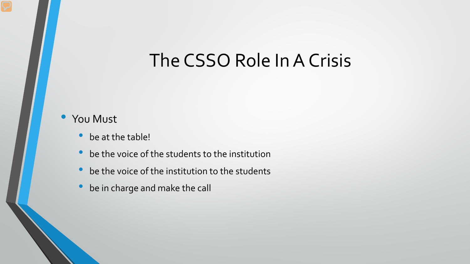### The CSSO Role In A Crisis

#### You Must

- be at the table!
- be the voice of the students to the institution
- be the voice of the institution to the students
- be in charge and make the call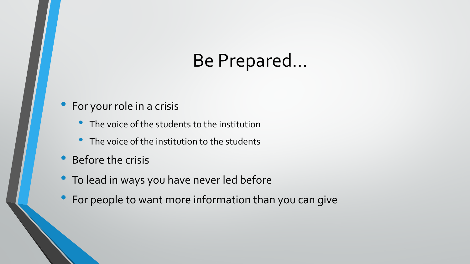### Be Prepared…

#### • For your role in a crisis

- The voice of the students to the institution
- The voice of the institution to the students
- Before the crisis
- To lead in ways you have never led before
- For people to want more information than you can give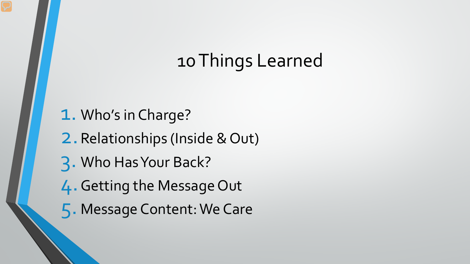# 10 Things Learned

- 1. Who's in Charge?
- 2.Relationships (Inside & Out)
- 3. Who Has Your Back?
- 4.Getting the Message Out
- 5. Message Content: We Care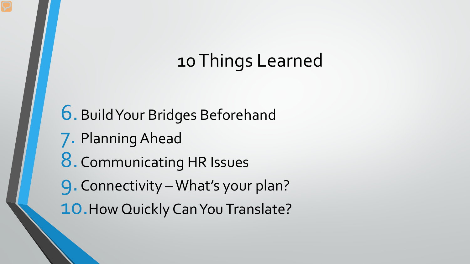# 10 Things Learned

6.Build Your Bridges Beforehand 7. Planning Ahead 8. Communicating HR Issues 9.Connectivity –What's your plan? 10. How Quickly Can You Translate?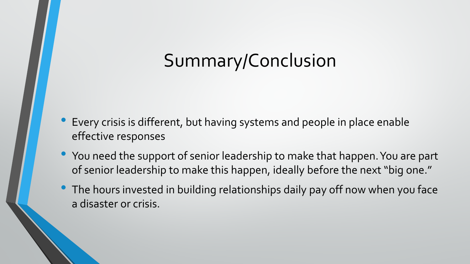# Summary/Conclusion

- Every crisis is different, but having systems and people in place enable effective responses
- You need the support of senior leadership to make that happen. You are part of senior leadership to make this happen, ideally before the next "big one."
- The hours invested in building relationships daily pay off now when you face a disaster or crisis.